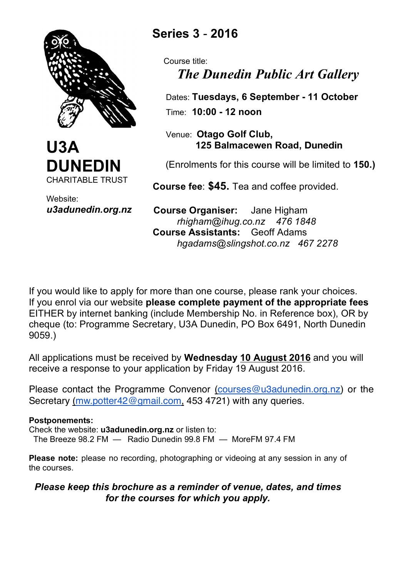



Website: *u3adunedin.org.nz*

# **Series 3** - **2016**

 Course title: *The Dunedin Public Art Gallery*

 Dates: **Tuesdays, 6 September - 11 October** Time: **10:00 - 12 noon** 

 Venue: **Otago Golf Club, 125 Balmacewen Road, Dunedin**

(Enrolments for this course will be limited to **150.)**

 **Course fee**: **\$45.** Tea and coffee provided.

 **Course Organiser:** Jane Higham *rhigham@ihug.co.nz 476 1848*  **Course Assistants:** Geoff Adams *hgadams@slingshot.co.nz 467 2278*

If you would like to apply for more than one course, please rank your choices. If you enrol via our website **please complete payment of the appropriate fees** EITHER by internet banking (include Membership No. in Reference box), OR by cheque (to: Programme Secretary, U3A Dunedin, PO Box 6491, North Dunedin 9059.)

All applications must be received by **Wednesday 10 August 2016** and you will receive a response to your application by Friday 19 August 2016.

Please contact the Programme Convenor (courses@u3adunedin.org.nz) or the Secretary (mw.potter42@gmail.com, 453 4721) with any queries.

#### **Postponements:**

Check the website: **u3adunedin.org.nz** or listen to: The Breeze 98.2 FM — Radio Dunedin 99.8 FM — MoreFM 97.4 FM

**Please note:** please no recording, photographing or videoing at any session in any of the courses.

#### *Please keep this brochure as a reminder of venue, dates, and times for the courses for which you apply.*